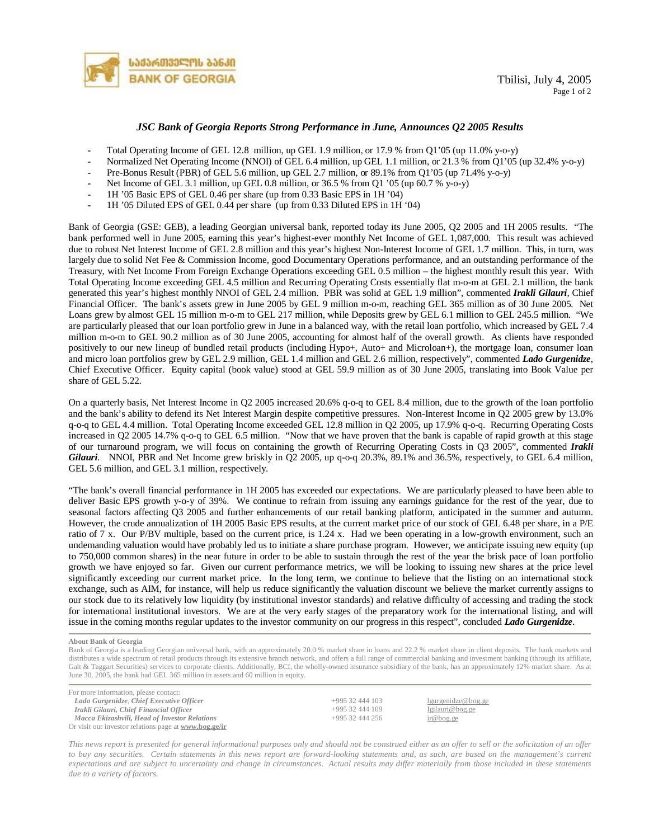

## *JSC Bank of Georgia Reports Strong Performance in June, Announces Q2 2005 Results*

- *-* Total Operating Income of GEL 12.8 million, up GEL 1.9 million, or 17.9 % from Q1'05 (up 11.0% y-o-y)
- *-* Normalized Net Operating Income (NNOI) of GEL 6.4 million, up GEL 1.1 million, or 21.3 % from Q1'05 (up 32.4% y-o-y)
- *-* Pre-Bonus Result (PBR) of GEL 5.6 million, up GEL 2.7 million, or 89.1% from Q1'05 (up 71.4% y-o-y)
- *-* Net Income of GEL 3.1 million, up GEL 0.8 million, or 36.5 % from Q1 '05 (up 60.7 % y-o-y)
- *-* 1H '05 Basic EPS of GEL 0.46 per share (up from 0.33 Basic EPS in 1H '04)
- *-* 1H '05 Diluted EPS of GEL 0.44 per share (up from 0.33 Diluted EPS in 1H '04)

Bank of Georgia (GSE: GEB), a leading Georgian universal bank, reported today its June 2005, Q2 2005 and 1H 2005 results. "The bank performed well in June 2005, earning this year's highest-ever monthly Net Income of GEL 1,087,000. This result was achieved due to robust Net Interest Income of GEL 2.8 million and this year's highest Non-Interest Income of GEL 1.7 million. This, in turn, was largely due to solid Net Fee & Commission Income, good Documentary Operations performance, and an outstanding performance of the Treasury, with Net Income From Foreign Exchange Operations exceeding GEL 0.5 million – the highest monthly result this year. With Total Operating Income exceeding GEL 4.5 million and Recurring Operating Costs essentially flat m-o-m at GEL 2.1 million, the bank generated this year's highest monthly NNOI of GEL 2.4 million. PBR was solid at GEL 1.9 million", commented *Irakli Gilauri*, Chief Financial Officer. The bank's assets grew in June 2005 by GEL 9 million m-o-m, reaching GEL 365 million as of 30 June 2005. Net Loans grew by almost GEL 15 million m-o-m to GEL 217 million, while Deposits grew by GEL 6.1 million to GEL 245.5 million. "We are particularly pleased that our loan portfolio grew in June in a balanced way, with the retail loan portfolio, which increased by GEL 7.4 million m-o-m to GEL 90.2 million as of 30 June 2005, accounting for almost half of the overall growth. As clients have responded positively to our new lineup of bundled retail products (including Hypo+, Auto+ and Microloan+), the mortgage loan, consumer loan and micro loan portfolios grew by GEL 2.9 million, GEL 1.4 million and GEL 2.6 million, respectively", commented *Lado Gurgenidze*, Chief Executive Officer. Equity capital (book value) stood at GEL 59.9 million as of 30 June 2005, translating into Book Value per share of GEL 5.22.

On a quarterly basis, Net Interest Income in Q2 2005 increased 20.6% q-o-q to GEL 8.4 million, due to the growth of the loan portfolio and the bank's ability to defend its Net Interest Margin despite competitive pressures. Non-Interest Income in Q2 2005 grew by 13.0% q-o-q to GEL 4.4 million. Total Operating Income exceeded GEL 12.8 million in Q2 2005, up 17.9% q-o-q. Recurring Operating Costs increased in Q2 2005 14.7% q-o-q to GEL 6.5 million. "Now that we have proven that the bank is capable of rapid growth at this stage of our turnaround program, we will focus on containing the growth of Recurring Operating Costs in Q3 2005", commented *Irakli Gilauri*. NNOI, PBR and Net Income grew briskly in Q2 2005, up q-o-q 20.3%, 89.1% and 36.5%, respectively, to GEL 6.4 million, GEL 5.6 million, and GEL 3.1 million, respectively.

"The bank's overall financial performance in 1H 2005 has exceeded our expectations. We are particularly pleased to have been able to deliver Basic EPS growth y-o-y of 39%. We continue to refrain from issuing any earnings guidance for the rest of the year, due to seasonal factors affecting Q3 2005 and further enhancements of our retail banking platform, anticipated in the summer and autumn. However, the crude annualization of 1H 2005 Basic EPS results, at the current market price of our stock of GEL 6.48 per share, in a P/E ratio of 7 x. Our P/BV multiple, based on the current price, is 1.24 x. Had we been operating in a low-growth environment, such an undemanding valuation would have probably led us to initiate a share purchase program. However, we anticipate issuing new equity (up to 750,000 common shares) in the near future in order to be able to sustain through the rest of the year the brisk pace of loan portfolio growth we have enjoyed so far. Given our current performance metrics, we will be looking to issuing new shares at the price level significantly exceeding our current market price. In the long term, we continue to believe that the listing on an international stock exchange, such as AIM, for instance, will help us reduce significantly the valuation discount we believe the market currently assigns to our stock due to its relatively low liquidity (by institutional investor standards) and relative difficulty of accessing and trading the stock for international institutional investors. We are at the very early stages of the preparatory work for the international listing, and will issue in the coming months regular updates to the investor community on our progress in this respect", concluded *Lado Gurgenidze*.

**About Bank of Georgia** 

Bank of Georgia is a leading Georgian universal bank, with an approximately 20.0 % market share in loans and 22.2 % market share in client deposits. The bank markets and distributes a wide spectrum of retail products through its extensive branch network, and offers a full range of commercial banking and investment banking (through its affiliate, Galt & Taggart Securities) services to corporate clients. Additionally, BCI, the wholly-owned insurance subsidiary of the bank, has an approximately 12% market share. As at June 30, 2005, the bank had GEL 365 million in assets and 60 million in equity.

For more information, please contact: *Lado Gurgenidze*, *Chief Executive Officer* +995 32 444 103 [lgurgenidze@bog.ge](mailto:lgurgenidze@bog.ge) *Irakli Gilauri, Chief Financial Officer* +995 32 444 109 [Igilauri@bog.ge](mailto:Igilauri@bog.ge) *Macca Ekizashvili, Head of Investor Relations* +995 32 444 256 [ir@bog.ge](mailto:ir@bog.ge) Or visit our investor relations page at **[www.bog.ge/ir](http://www.bog.ge/ir)**

This news report is presented for general informational purposes only and should not be construed either as an offer to sell or the solicitation of an offer to buy any securities. Certain statements in this news report are forward-looking statements and, as such, are based on the management's current expectations and are subject to uncertainty and change in circumstances. Actual results may differ materially from those included in these statements *due to a variety of factors.*